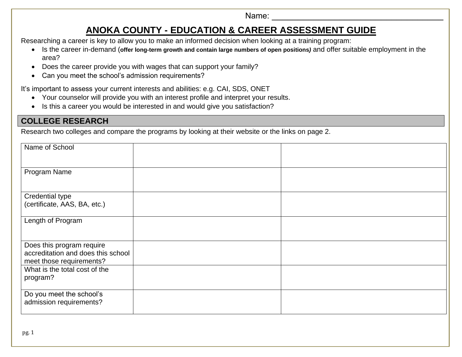Name:

# **ANOKA COUNTY - EDUCATION & CAREER ASSESSMENT GUIDE**

Researching a career is key to allow you to make an informed decision when looking at a training program:

- Is the career in-demand (**offer long-term growth and contain large numbers of open positions***)* and offer suitable employment in the area?
- Does the career provide you with wages that can support your family?
- Can you meet the school's admission requirements?

It's important to assess your current interests and abilities: e.g. CAI, SDS, ONET

- Your counselor will provide you with an interest profile and interpret your results.
- Is this a career you would be interested in and would give you satisfaction?

### **COLLEGE RESEARCH**

Research two colleges and compare the programs by looking at their website or the links on page 2.

| Name of School                                                 |  |
|----------------------------------------------------------------|--|
| Program Name                                                   |  |
| Credential type                                                |  |
| (certificate, AAS, BA, etc.)                                   |  |
| Length of Program                                              |  |
| Does this program require                                      |  |
| accreditation and does this school<br>meet those requirements? |  |
| What is the total cost of the                                  |  |
| program?                                                       |  |
| Do you meet the school's                                       |  |
| admission requirements?                                        |  |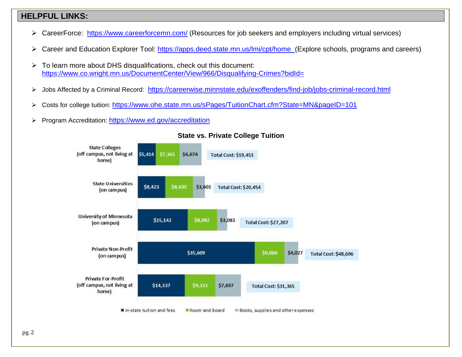### **HELPFUL LINKS:**

- ➢ CareerForce: <https://www.careerforcemn.com/> (Resources for job seekers and employers including virtual services)
- ➢ Career and Education Explorer Tool:<https://apps.deed.state.mn.us/lmi/cpt/home>(Explore schools, programs and careers)
- ➢ To learn more about DHS disqualifications, check out this document: <https://www.co.wright.mn.us/DocumentCenter/View/966/Disqualifying-Crimes?bidId=>
- ➢ Jobs Affected by a Criminal Record: <https://careerwise.minnstate.edu/exoffenders/find-job/jobs-criminal-record.html>
- ➢ Costs for college tuition: <https://www.ohe.state.mn.us/sPages/TuitionChart.cfm?State=MN&pageID=101>
- ➢ Program Accreditation: <https://www.ed.gov/accreditation>



#### **State vs. Private College Tuition**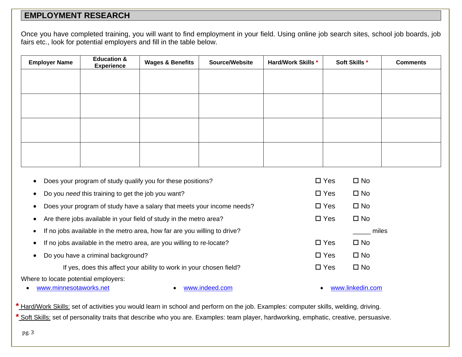### **EMPLOYMENT RESEARCH**

Once you have completed training, you will want to find employment in your field. Using online job search sites, school job boards, job fairs etc., look for potential employers and fill in the table below.

| <b>Employer Name</b> | <b>Education &amp;</b><br><b>Experience</b> | <b>Wages &amp; Benefits</b> | Source/Website | <b>Hard/Work Skills *</b> | Soft Skills * | <b>Comments</b> |
|----------------------|---------------------------------------------|-----------------------------|----------------|---------------------------|---------------|-----------------|
|                      |                                             |                             |                |                           |               |                 |
|                      |                                             |                             |                |                           |               |                 |
|                      |                                             |                             |                |                           |               |                 |
|                      |                                             |                             |                |                           |               |                 |
|                      |                                             |                             |                |                           |               |                 |
|                      |                                             |                             |                |                           |               |                 |
|                      |                                             |                             |                |                           |               |                 |
|                      |                                             |                             |                |                           |               |                 |

| Does your program of study qualify you for these positions?<br>$\bullet$               | $\square$ Yes | $\square$ No     |
|----------------------------------------------------------------------------------------|---------------|------------------|
| Do you need this training to get the job you want?<br>$\bullet$                        | $\Box$ Yes    | $\square$ No     |
| Does your program of study have a salary that meets your income needs?<br>$\bullet$    | $\Box$ Yes    | $\square$ No     |
| Are there jobs available in your field of study in the metro area?<br>$\bullet$        | $\Box$ Yes    | $\square$ No     |
| If no jobs available in the metro area, how far are you willing to drive?<br>$\bullet$ |               | miles            |
| If no jobs available in the metro area, are you willing to re-locate?<br>٠             | $\Box$ Yes    | $\square$ No     |
| Do you have a criminal background?<br>$\bullet$                                        | $\Box$ Yes    | $\square$ No     |
| If yes, does this affect your ability to work in your chosen field?                    | $\Box$ Yes    | $\square$ No     |
| Where to locate potential employers:                                                   |               |                  |
| www.minnesotaworks.net<br>www.indeed.com                                               |               | www.linkedin.com |

**\*** Hard/Work Skills: set of activities you would learn in school and perform on the job. Examples: computer skills, welding, driving. **\*** Soft Skills: set of personality traits that describe who you are. Examples: team player, hardworking, emphatic, creative, persuasive.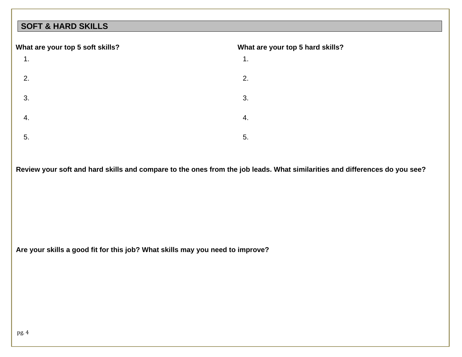## **SOFT & HARD SKILLS**

#### **What are your top 5 soft skills?**  1. 2. 3. 4. 5. **What are your top 5 hard skills?** 1. 2. 3. 4. 5.

**Review your soft and hard skills and compare to the ones from the job leads. What similarities and differences do you see?** 

**Are your skills a good fit for this job? What skills may you need to improve?**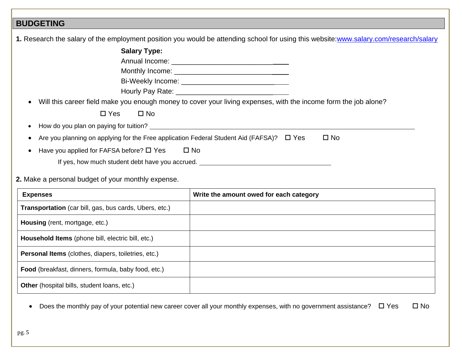## **BUDGETING**

|                                                                                               | 1. Research the salary of the employment position you would be attending school for using this website: www.salary.com/research/salary |
|-----------------------------------------------------------------------------------------------|----------------------------------------------------------------------------------------------------------------------------------------|
| <b>Salary Type:</b>                                                                           |                                                                                                                                        |
|                                                                                               |                                                                                                                                        |
|                                                                                               |                                                                                                                                        |
|                                                                                               |                                                                                                                                        |
|                                                                                               |                                                                                                                                        |
|                                                                                               | Will this career field make you enough money to cover your living expenses, with the income form the job alone?                        |
| $\Box$ Yes<br>$\Box$ No                                                                       |                                                                                                                                        |
|                                                                                               |                                                                                                                                        |
| Are you planning on applying for the Free application Federal Student Aid (FAFSA)? $\Box$ Yes | $\square$ No                                                                                                                           |
| $\square$ No<br>Have you applied for FAFSA before? $\square$ Yes                              |                                                                                                                                        |
| If yes, how much student debt have you accrued.                                               |                                                                                                                                        |
| 2. Make a personal budget of your monthly expense.                                            |                                                                                                                                        |
| <b>Expenses</b>                                                                               | Write the amount owed for each category                                                                                                |

| EXPEIISES                                                     | <b><i>Prine the amount owed for each category</i></b> |
|---------------------------------------------------------------|-------------------------------------------------------|
| <b>Transportation</b> (car bill, gas, bus cards, Ubers, etc.) |                                                       |
| Housing (rent, mortgage, etc.)                                |                                                       |
| Household Items (phone bill, electric bill, etc.)             |                                                       |
| <b>Personal Items</b> (clothes, diapers, toiletries, etc.)    |                                                       |
| Food (breakfast, dinners, formula, baby food, etc.)           |                                                       |
| Other (hospital bills, student loans, etc.)                   |                                                       |

• Does the monthly pay of your potential new career cover all your monthly expenses, with no government assistance?  $\Box$  Yes  $\Box$  No